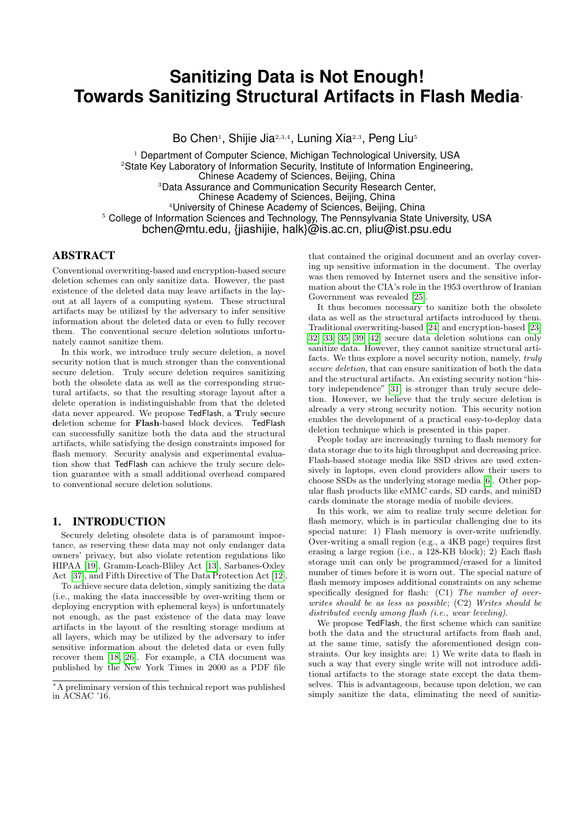# **Sanitizing Data is Not Enough! Towards Sanitizing Structural Artifacts in Flash Media**<sup>∗</sup>

Bo Chen<sup>1</sup>, Shijie Jia<sup>2,3,4</sup>, Luning Xia<sup>2,3</sup>, Peng Liu<sup>5</sup>

<sup>1</sup> Department of Computer Science, Michigan Technological University, USA <sup>2</sup>State Key Laboratory of Information Security, Institute of Information Engineering, Chinese Academy of Sciences, Beijing, China <sup>3</sup>Data Assurance and Communication Security Research Center, Chinese Academy of Sciences, Beijing, China <sup>4</sup>University of Chinese Academy of Sciences, Beijing, China <sup>5</sup> College of Information Sciences and Technology, The Pennsylvania State University, USA bchen@mtu.edu, {jiashijie, halk}@is.ac.cn, pliu@ist.psu.edu

# ABSTRACT

Conventional overwriting-based and encryption-based secure deletion schemes can only sanitize data. However, the past existence of the deleted data may leave artifacts in the layout at all layers of a computing system. These structural artifacts may be utilized by the adversary to infer sensitive information about the deleted data or even to fully recover them. The conventional secure deletion solutions unfortunately cannot sanitize them.

In this work, we introduce truly secure deletion, a novel security notion that is much stronger than the conventional secure deletion. Truly secure deletion requires sanitizing both the obsolete data as well as the corresponding structural artifacts, so that the resulting storage layout after a delete operation is indistinguishable from that the deleted data never appeared. We propose TedFlash, a Truly secure deletion scheme for Flash-based block devices. TedFlash can successfully sanitize both the data and the structural artifacts, while satisfying the design constraints imposed for flash memory. Security analysis and experimental evaluation show that TedFlash can achieve the truly secure deletion guarantee with a small additional overhead compared to conventional secure deletion solutions.

## 1. INTRODUCTION

Securely deleting obsolete data is of paramount importance, as reserving these data may not only endanger data owners' privacy, but also violate retention regulations like HIPAA [\[19\]](#page-10-0), Gramm-Leach-Bliley Act [\[13\]](#page-10-1), Sarbanes-Oxley Act [\[37\]](#page-11-0), and Fifth Directive of The Data Protection Act [\[12\]](#page-10-2).

To achieve secure data deletion, simply sanitizing the data (i.e., making the data inaccessible by over-writing them or deploying encryption with ephemeral keys) is unfortunately not enough, as the past existence of the data may leave artifacts in the layout of the resulting storage medium at all layers, which may be utilized by the adversary to infer sensitive information about the deleted data or even fully recover them [\[18,](#page-10-3) [26\]](#page-11-1). For example, a CIA document was published by the New York Times in 2000 as a PDF file

that contained the original document and an overlay covering up sensitive information in the document. The overlay was then removed by Internet users and the sensitive information about the CIA's role in the 1953 overthrow of Iranian Government was revealed [\[25\]](#page-11-2).

It thus becomes necessary to sanitize both the obsolete data as well as the structural artifacts introduced by them. Traditional overwriting-based [\[24\]](#page-11-3) and encryption-based [\[23,](#page-11-4) [32,](#page-11-5) [33,](#page-11-6) [35,](#page-11-7) [39,](#page-11-8) [42\]](#page-11-9) secure data deletion solutions can only sanitize data. However, they cannot sanitize structural artifacts. We thus explore a novel security notion, namely, truly secure deletion, that can ensure sanitization of both the data and the structural artifacts. An existing security notion "history independence" [\[31\]](#page-11-10) is stronger than truly secure deletion. However, we believe that the truly secure deletion is already a very strong security notion. This security notion enables the development of a practical easy-to-deploy data deletion technique which is presented in this paper.

People today are increasingly turning to flash memory for data storage due to its high throughput and decreasing price. Flash-based storage media like SSD drives are used extensively in laptops, even cloud providers allow their users to choose SSDs as the underlying storage media [\[6\]](#page-10-4). Other popular flash products like eMMC cards, SD cards, and miniSD cards dominate the storage media of mobile devices.

In this work, we aim to realize truly secure deletion for flash memory, which is in particular challenging due to its special nature: 1) Flash memory is over-write unfriendly. Over-writing a small region (e.g., a 4KB page) requires first erasing a large region (i.e., a 128-KB block); 2) Each flash storage unit can only be programmed/erased for a limited number of times before it is worn out. The special nature of flash memory imposes additional constraints on any scheme specifically designed for flash: (C1) The number of overwrites should be as less as possible; (C2) Writes should be distributed evenly among flash (i.e., wear leveling).

We propose TedFlash, the first scheme which can sanitize both the data and the structural artifacts from flash and, at the same time, satisfy the aforementioned design constraints. Our key insights are: 1) We write data to flash in such a way that every single write will not introduce additional artifacts to the storage state except the data themselves. This is advantageous, because upon deletion, we can simply sanitize the data, eliminating the need of sanitiz-

<sup>∗</sup>A preliminary version of this technical report was published in ACSAC '16.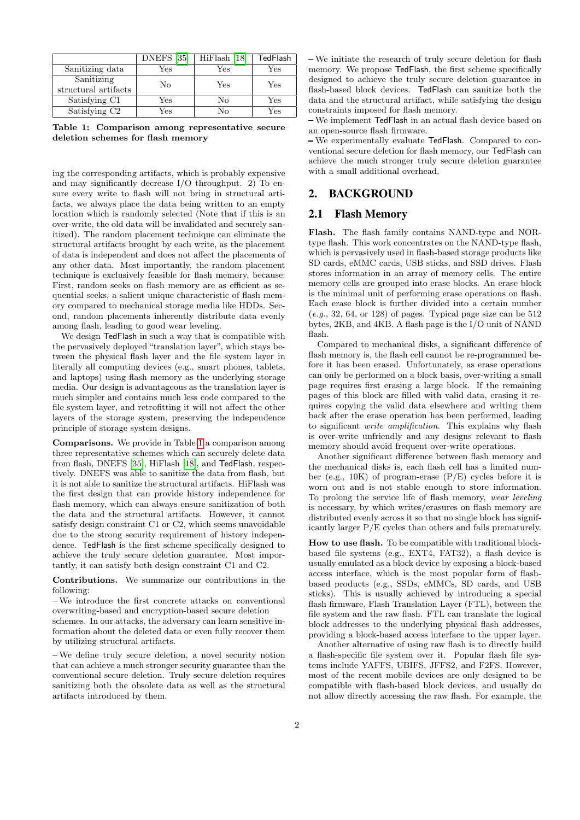|                                    | DNEFS [35] | HiFlash [18] | TedFlash |
|------------------------------------|------------|--------------|----------|
| Sanitizing data                    | Yes        | Yes          | Yes      |
| Sanitizing<br>structural artifacts | No         | Yes          | Yes      |
| Satisfying C1                      | Yes        | No           | Yes      |
| Satisfying C <sub>2</sub>          | Yes        | Nο           | Yes      |

<span id="page-1-0"></span>Table 1: Comparison among representative secure deletion schemes for flash memory

ing the corresponding artifacts, which is probably expensive and may significantly decrease I/O throughput. 2) To ensure every write to flash will not bring in structural artifacts, we always place the data being written to an empty location which is randomly selected (Note that if this is an over-write, the old data will be invalidated and securely sanitized). The random placement technique can eliminate the structural artifacts brought by each write, as the placement of data is independent and does not affect the placements of any other data. Most importantly, the random placement technique is exclusively feasible for flash memory, because: First, random seeks on flash memory are as efficient as sequential seeks, a salient unique characteristic of flash memory compared to mechanical storage media like HDDs. Second, random placements inherently distribute data evenly among flash, leading to good wear leveling.

We design TedFlash in such a way that is compatible with the pervasively deployed "translation layer", which stays between the physical flash layer and the file system layer in literally all computing devices (e.g., smart phones, tablets, and laptops) using flash memory as the underlying storage media. Our design is advantageous as the translation layer is much simpler and contains much less code compared to the file system layer, and retrofitting it will not affect the other layers of the storage system, preserving the independence principle of storage system designs.

Comparisons. We provide in Table [1](#page-1-0) a comparison among three representative schemes which can securely delete data from flash, DNEFS [\[35\]](#page-11-7), HiFlash [\[18\]](#page-10-3), and TedFlash, respectively. DNEFS was able to sanitize the data from flash, but it is not able to sanitize the structural artifacts. HiFlash was the first design that can provide history independence for flash memory, which can always ensure sanitization of both the data and the structural artifacts. However, it cannot satisfy design constraint C1 or C2, which seems unavoidable due to the strong security requirement of history independence. TedFlash is the first scheme specifically designed to achieve the truly secure deletion guarantee. Most importantly, it can satisfy both design constraint C1 and C2.

Contributions. We summarize our contributions in the following:

We introduce the first concrete attacks on conventional overwriting-based and encryption-based secure deletion

schemes. In our attacks, the adversary can learn sensitive information about the deleted data or even fully recover them by utilizing structural artifacts.

We define truly secure deletion, a novel security notion that can achieve a much stronger security guarantee than the conventional secure deletion. Truly secure deletion requires sanitizing both the obsolete data as well as the structural artifacts introduced by them.

We initiate the research of truly secure deletion for flash memory. We propose TedFlash, the first scheme specifically designed to achieve the truly secure deletion guarantee in flash-based block devices. TedFlash can sanitize both the data and the structural artifact, while satisfying the design constraints imposed for flash memory.

We implement TedFlash in an actual flash device based on an open-source flash firmware.

- We experimentally evaluate TedFlash. Compared to conventional secure deletion for flash memory, our TedFlash can achieve the much stronger truly secure deletion guarantee with a small additional overhead.

# 2. BACKGROUND

# 2.1 Flash Memory

Flash. The flash family contains NAND-type and NORtype flash. This work concentrates on the NAND-type flash, which is pervasively used in flash-based storage products like SD cards, eMMC cards, USB sticks, and SSD drives. Flash stores information in an array of memory cells. The entire memory cells are grouped into erase blocks. An erase block is the minimal unit of performing erase operations on flash. Each erase block is further divided into a certain number  $(e.g., 32, 64, or 128)$  of pages. Typical page size can be  $512$ bytes, 2KB, and 4KB. A flash page is the I/O unit of NAND flash.

Compared to mechanical disks, a significant difference of flash memory is, the flash cell cannot be re-programmed before it has been erased. Unfortunately, as erase operations can only be performed on a block basis, over-writing a small page requires first erasing a large block. If the remaining pages of this block are filled with valid data, erasing it requires copying the valid data elsewhere and writing them back after the erase operation has been performed, leading to significant write amplification. This explains why flash is over-write unfriendly and any designs relevant to flash memory should avoid frequent over-write operations.

Another significant difference between flash memory and the mechanical disks is, each flash cell has a limited number (e.g., 10K) of program-erase (P/E) cycles before it is worn out and is not stable enough to store information. To prolong the service life of flash memory, wear leveling is necessary, by which writes/erasures on flash memory are distributed evenly across it so that no single block has significantly larger P/E cycles than others and fails prematurely.

How to use flash. To be compatible with traditional blockbased file systems (e.g., EXT4, FAT32), a flash device is usually emulated as a block device by exposing a block-based access interface, which is the most popular form of flashbased products (e.g., SSDs, eMMCs, SD cards, and USB sticks). This is usually achieved by introducing a special flash firmware, Flash Translation Layer (FTL), between the file system and the raw flash. FTL can translate the logical block addresses to the underlying physical flash addresses, providing a block-based access interface to the upper layer.

Another alternative of using raw flash is to directly build a flash-specific file system over it. Popular flash file systems include YAFFS, UBIFS, JFFS2, and F2FS. However, most of the recent mobile devices are only designed to be compatible with flash-based block devices, and usually do not allow directly accessing the raw flash. For example, the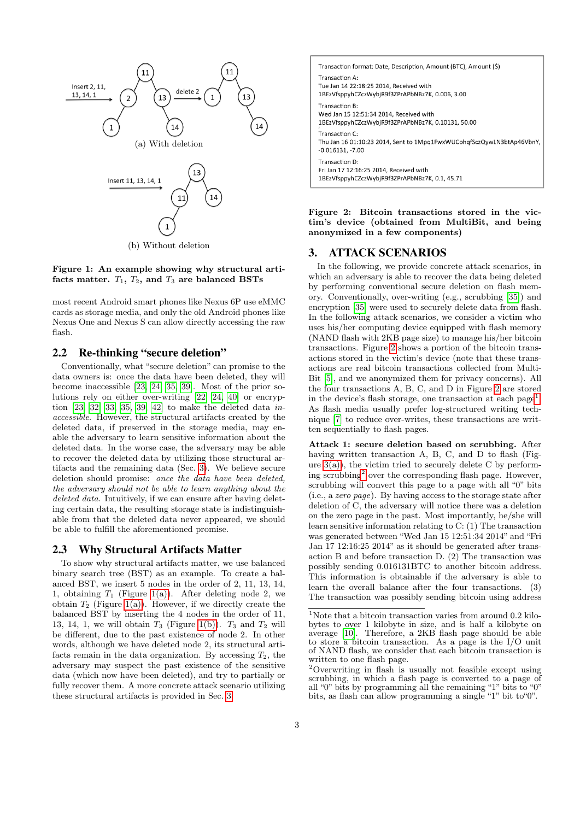<span id="page-2-1"></span>

<span id="page-2-2"></span>(b) Without deletion



most recent Android smart phones like Nexus 6P use eMMC cards as storage media, and only the old Android phones like Nexus One and Nexus S can allow directly accessing the raw flash.

# 2.2 Re-thinking "secure deletion"

Conventionally, what "secure deletion" can promise to the data owners is: once the data have been deleted, they will become inaccessible [\[23,](#page-11-4) [24,](#page-11-3) [35,](#page-11-7) [39\]](#page-11-8). Most of the prior solutions rely on either over-writing [\[22,](#page-11-11) [24,](#page-11-3) [40\]](#page-11-12) or encryption [\[23,](#page-11-4) [32,](#page-11-5) [33,](#page-11-6) [35,](#page-11-7) [39,](#page-11-8) [42\]](#page-11-9) to make the deleted data inaccessible. However, the structural artifacts created by the deleted data, if preserved in the storage media, may enable the adversary to learn sensitive information about the deleted data. In the worse case, the adversary may be able to recover the deleted data by utilizing those structural artifacts and the remaining data (Sec.  $3$ ). We believe secure deletion should promise: once the data have been deleted, the adversary should not be able to learn anything about the deleted data. Intuitively, if we can ensure after having deleting certain data, the resulting storage state is indistinguishable from that the deleted data never appeared, we should be able to fulfill the aforementioned promise.

## 2.3 Why Structural Artifacts Matter

To show why structural artifacts matter, we use balanced binary search tree (BST) as an example. To create a balanced BST, we insert 5 nodes in the order of 2, 11, 13, 14, 1, obtaining  $T_1$  (Figure [1\(a\)\)](#page-2-1). After deleting node 2, we obtain  $T_2$  (Figure [1\(a\)\)](#page-2-1). However, if we directly create the balanced BST by inserting the 4 nodes in the order of 11, 13, 14, 1, we will obtain  $T_3$  (Figure [1\(b\)\)](#page-2-2).  $T_3$  and  $T_2$  will be different, due to the past existence of node 2. In other words, although we have deleted node 2, its structural artifacts remain in the data organization. By accessing  $T_2$ , the adversary may suspect the past existence of the sensitive data (which now have been deleted), and try to partially or fully recover them. A more concrete attack scenario utilizing these structural artifacts is provided in Sec. [3.](#page-2-0)

Transaction format: Date, Description, Amount (BTC), Amount (\$) Transaction A: Tue Jan 14 22:18:25 2014, Received with 18EzVfsppyhCZczWybjR9f3ZPrAPbNBz7K, 0.006, 3.00 Transaction R Wed Jan 15 12:51:34 2014, Received with 1BEzVfsppyhCZczWybjR9f3ZPrAPbNBz7K, 0.10131, 50.00 Transaction C: Thu Jan 16 01:10:23 2014, Sent to 1Mpq1FwxWUCohqfSczQywLN3btAp46VbnY,  $-0.016131, -7.00$ Transaction D: Fri Jan 17 12:16:25 2014, Received with 1BEzVfsppyhCZczWybjR9f3ZPrAPbNBz7K, 0.1, 45.71

<span id="page-2-3"></span>Figure 2: Bitcoin transactions stored in the victim's device (obtained from MultiBit, and being anonymized in a few components)

# <span id="page-2-0"></span>3. ATTACK SCENARIOS

In the following, we provide concrete attack scenarios, in which an adversary is able to recover the data being deleted by performing conventional secure deletion on flash memory. Conventionally, over-writing (e.g., scrubbing [\[35\]](#page-11-7)) and encryption [\[35\]](#page-11-7) were used to securely delete data from flash. In the following attack scenarios, we consider a victim who uses his/her computing device equipped with flash memory (NAND flash with 2KB page size) to manage his/her bitcoin transactions. Figure [2](#page-2-3) shows a portion of the bitcoin transactions stored in the victim's device (note that these transactions are real bitcoin transactions collected from Multi-Bit [\[5\]](#page-10-5), and we anonymized them for privacy concerns). All the four transactions A, B, C, and D in Figure [2](#page-2-3) are stored in the device's flash storage, one transaction at each page<sup>[1](#page-2-4)</sup>. As flash media usually prefer log-structured writing technique [\[7\]](#page-10-6) to reduce over-writes, these transactions are written sequentially to flash pages.

Attack 1: secure deletion based on scrubbing. After having written transaction A, B, C, and D to flash (Figure  $3(a)$ , the victim tried to securely delete C by performing scrubbing[2](#page-2-5) over the corresponding flash page. However, scrubbing will convert this page to a page with all "0" bits (i.e., a zero page). By having access to the storage state after deletion of C, the adversary will notice there was a deletion on the zero page in the past. Most importantly, he/she will learn sensitive information relating to C: (1) The transaction was generated between "Wed Jan 15 12:51:34 2014" and "Fri Jan 17 12:16:25 2014" as it should be generated after transaction B and before transaction D. (2) The transaction was possibly sending 0.016131BTC to another bitcoin address. This information is obtainable if the adversary is able to learn the overall balance after the four transactions. (3) The transaction was possibly sending bitcoin using address

<span id="page-2-4"></span><sup>&</sup>lt;sup>1</sup>Note that a bitcoin transaction varies from around  $0.2$  kilobytes to over 1 kilobyte in size, and is half a kilobyte on average [\[10\]](#page-10-7). Therefore, a 2KB flash page should be able to store a bitcoin transaction. As a page is the I/O unit of NAND flash, we consider that each bitcoin transaction is written to one flash page.

<span id="page-2-5"></span><sup>2</sup>Overwriting in flash is usually not feasible except using scrubbing, in which a flash page is converted to a page of all "0" bits by programming all the remaining "1" bits to "0" bits, as flash can allow programming a single "1" bit to"0".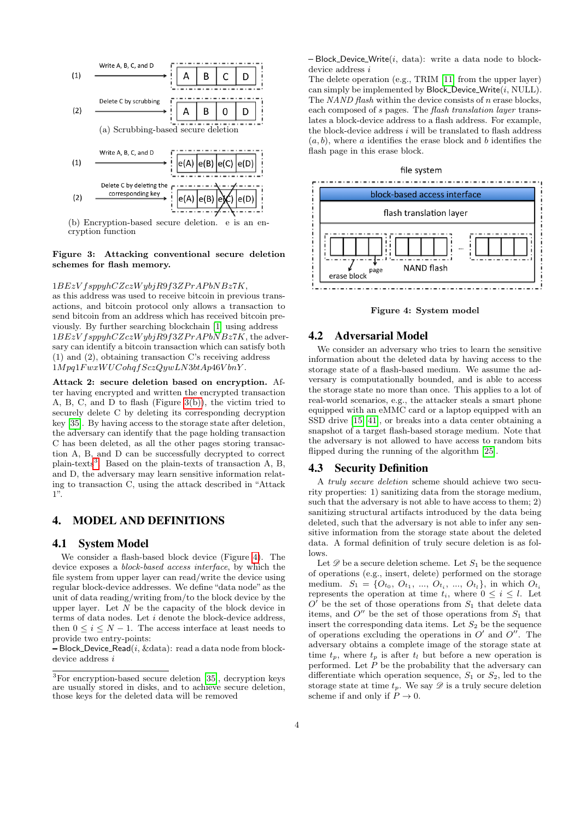<span id="page-3-0"></span>

<span id="page-3-1"></span>(b) Encryption-based secure deletion. e is an encryption function

#### Figure 3: Attacking conventional secure deletion schemes for flash memory.

# $1BEzV fsppyhCZczWybjR9f3ZPrAPbNBz7K,$

as this address was used to receive bitcoin in previous transactions, and bitcoin protocol only allows a transaction to send bitcoin from an address which has received bitcoin previously. By further searching blockchain [\[1\]](#page-10-8) using address  $1BEzV$  fsppyh $CZczW$ ybjR9f3ZPrAPbNBz7K, the adversary can identify a bitcoin transaction which can satisfy both (1) and (2), obtaining transaction C's receiving address  $1Mpq1FwxWUCohqfSczQywLN3btAp46VbnY.$ 

Attack 2: secure deletion based on encryption. After having encrypted and written the encrypted transaction A, B, C, and D to flash (Figure [3\(b\)\)](#page-3-1), the victim tried to securely delete C by deleting its corresponding decryption key [\[35\]](#page-11-7). By having access to the storage state after deletion, the adversary can identify that the page holding transaction C has been deleted, as all the other pages storing transaction A, B, and D can be successfully decrypted to correct plain-texts<sup>[3](#page-3-2)</sup>. Based on the plain-texts of transaction A, B, and D, the adversary may learn sensitive information relating to transaction C, using the attack described in "Attack 1".

# 4. MODEL AND DEFINITIONS

#### 4.1 System Model

We consider a flash-based block device (Figure [4\)](#page-3-3). The device exposes a block-based access interface, by which the file system from upper layer can read/write the device using regular block-device addresses. We define "data node" as the unit of data reading/writing from/to the block device by the upper layer. Let  $N$  be the capacity of the block device in terms of data nodes. Let  $i$  denote the block-device address, then  $0 \leq i \leq N-1$ . The access interface at least needs to provide two entry-points:

 $-$  Block Device Read(i, &data): read a data node from blockdevice address *i* 

 $-Block\_Device\_Write(i, data):$  write a data node to blockdevice address i

The delete operation (e.g., TRIM [\[11\]](#page-10-9) from the upper layer) can simply be implemented by  $Block\_ Device\_Write(i, NULL)$ . The NAND flash within the device consists of  $n$  erase blocks, each composed of s pages. The flash translation layer translates a block-device address to a flash address. For example, the block-device address i will be translated to flash address  $(a, b)$ , where a identifies the erase block and b identifies the flash page in this erase block.



<span id="page-3-3"></span>Figure 4: System model

## 4.2 Adversarial Model

We consider an adversary who tries to learn the sensitive information about the deleted data by having access to the storage state of a flash-based medium. We assume the adversary is computationally bounded, and is able to access the storage state no more than once. This applies to a lot of real-world scenarios, e.g., the attacker steals a smart phone equipped with an eMMC card or a laptop equipped with an SSD drive [\[15,](#page-10-10) [41\]](#page-11-13), or breaks into a data center obtaining a snapshot of a target flash-based storage medium. Note that the adversary is not allowed to have access to random bits flipped during the running of the algorithm [\[25\]](#page-11-2).

#### 4.3 Security Definition

A truly secure deletion scheme should achieve two security properties: 1) sanitizing data from the storage medium, such that the adversary is not able to have access to them; 2) sanitizing structural artifacts introduced by the data being deleted, such that the adversary is not able to infer any sensitive information from the storage state about the deleted data. A formal definition of truly secure deletion is as follows.

Let  $\mathscr D$  be a secure deletion scheme. Let  $S_1$  be the sequence of operations (e.g., insert, delete) performed on the storage medium.  $S_1 = \{O_{t_0}, O_{t_1}, ..., O_{t_i}, ..., O_{t_l}\}\$ , in which  $O_{t_i}$ represents the operation at time  $t_i$ , where  $0 \leq i \leq l$ . Let  $O<sup>T</sup>$  be the set of those operations from  $S<sub>1</sub>$  that delete data items, and  $O''$  be the set of those operations from  $S_1$  that insert the corresponding data items. Let  $S_2$  be the sequence of operations excluding the operations in  $O'$  and  $O''$ . The adversary obtains a complete image of the storage state at time  $t_p$ , where  $t_p$  is after  $t_l$  but before a new operation is performed. Let  $\overline{P}$  be the probability that the adversary can differentiate which operation sequence,  $S_1$  or  $S_2$ , led to the storage state at time  $t_p$ . We say  $\mathscr D$  is a truly secure deletion scheme if and only if  $P \to 0$ .

<span id="page-3-2"></span><sup>3</sup>For encryption-based secure deletion [\[35\]](#page-11-7), decryption keys are usually stored in disks, and to achieve secure deletion, those keys for the deleted data will be removed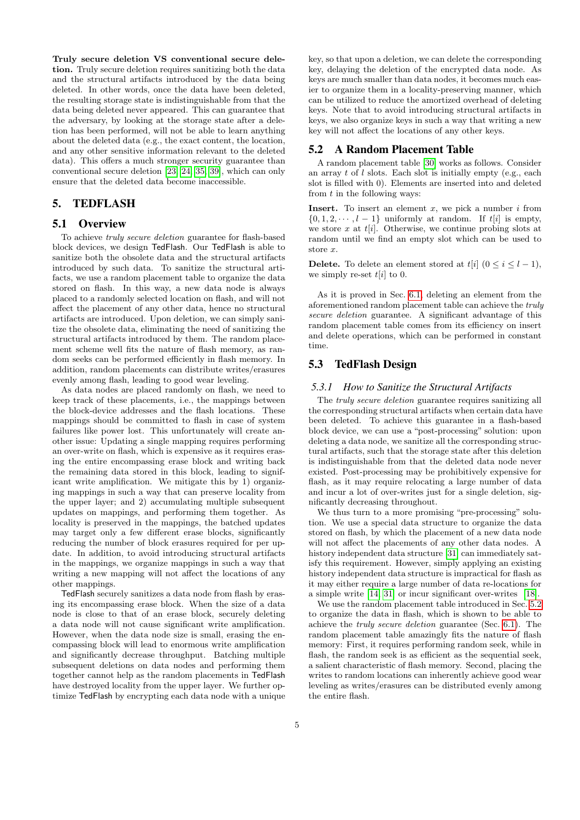Truly secure deletion VS conventional secure deletion. Truly secure deletion requires sanitizing both the data and the structural artifacts introduced by the data being deleted. In other words, once the data have been deleted, the resulting storage state is indistinguishable from that the data being deleted never appeared. This can guarantee that the adversary, by looking at the storage state after a deletion has been performed, will not be able to learn anything about the deleted data (e.g., the exact content, the location, and any other sensitive information relevant to the deleted data). This offers a much stronger security guarantee than conventional secure deletion [\[23,](#page-11-4) [24,](#page-11-3) [35,](#page-11-7) [39\]](#page-11-8), which can only ensure that the deleted data become inaccessible.

# 5. TEDFLASH

# 5.1 Overview

To achieve truly secure deletion guarantee for flash-based block devices, we design TedFlash. Our TedFlash is able to sanitize both the obsolete data and the structural artifacts introduced by such data. To sanitize the structural artifacts, we use a random placement table to organize the data stored on flash. In this way, a new data node is always placed to a randomly selected location on flash, and will not affect the placement of any other data, hence no structural artifacts are introduced. Upon deletion, we can simply sanitize the obsolete data, eliminating the need of sanitizing the structural artifacts introduced by them. The random placement scheme well fits the nature of flash memory, as random seeks can be performed efficiently in flash memory. In addition, random placements can distribute writes/erasures evenly among flash, leading to good wear leveling.

As data nodes are placed randomly on flash, we need to keep track of these placements, i.e., the mappings between the block-device addresses and the flash locations. These mappings should be committed to flash in case of system failures like power lost. This unfortunately will create another issue: Updating a single mapping requires performing an over-write on flash, which is expensive as it requires erasing the entire encompassing erase block and writing back the remaining data stored in this block, leading to significant write amplification. We mitigate this by 1) organizing mappings in such a way that can preserve locality from the upper layer; and 2) accumulating multiple subsequent updates on mappings, and performing them together. As locality is preserved in the mappings, the batched updates may target only a few different erase blocks, significantly reducing the number of block erasures required for per update. In addition, to avoid introducing structural artifacts in the mappings, we organize mappings in such a way that writing a new mapping will not affect the locations of any other mappings.

TedFlash securely sanitizes a data node from flash by erasing its encompassing erase block. When the size of a data node is close to that of an erase block, securely deleting a data node will not cause significant write amplification. However, when the data node size is small, erasing the encompassing block will lead to enormous write amplification and significantly decrease throughput. Batching multiple subsequent deletions on data nodes and performing them together cannot help as the random placements in TedFlash have destroyed locality from the upper layer. We further optimize TedFlash by encrypting each data node with a unique

key, so that upon a deletion, we can delete the corresponding key, delaying the deletion of the encrypted data node. As keys are much smaller than data nodes, it becomes much easier to organize them in a locality-preserving manner, which can be utilized to reduce the amortized overhead of deleting keys. Note that to avoid introducing structural artifacts in keys, we also organize keys in such a way that writing a new key will not affect the locations of any other keys.

## <span id="page-4-0"></span>5.2 A Random Placement Table

A random placement table [\[30\]](#page-11-14) works as follows. Consider an array  $t$  of  $l$  slots. Each slot is initially empty (e.g., each slot is filled with 0). Elements are inserted into and deleted from  $t$  in the following ways:

**Insert.** To insert an element  $x$ , we pick a number  $i$  from  $\{0, 1, 2, \dots, l-1\}$  uniformly at random. If  $t[i]$  is empty, we store x at  $t[i]$ . Otherwise, we continue probing slots at random until we find an empty slot which can be used to store x.

**Delete.** To delete an element stored at  $t[i]$  ( $0 \leq i \leq l-1$ ), we simply re-set  $t[i]$  to 0.

As it is proved in Sec. [6.1,](#page-6-0) deleting an element from the aforementioned random placement table can achieve the truly secure deletion guarantee. A significant advantage of this random placement table comes from its efficiency on insert and delete operations, which can be performed in constant time.

## 5.3 TedFlash Design

#### *5.3.1 How to Sanitize the Structural Artifacts*

The truly secure deletion guarantee requires sanitizing all the corresponding structural artifacts when certain data have been deleted. To achieve this guarantee in a flash-based block device, we can use a "post-processing" solution: upon deleting a data node, we sanitize all the corresponding structural artifacts, such that the storage state after this deletion is indistinguishable from that the deleted data node never existed. Post-processing may be prohibitively expensive for flash, as it may require relocating a large number of data and incur a lot of over-writes just for a single deletion, significantly decreasing throughout.

We thus turn to a more promising "pre-processing" solution. We use a special data structure to organize the data stored on flash, by which the placement of a new data node will not affect the placements of any other data nodes. A history independent data structure [\[31\]](#page-11-10) can immediately satisfy this requirement. However, simply applying an existing history independent data structure is impractical for flash as it may either require a large number of data re-locations for a simple write [\[14,](#page-10-11) [31\]](#page-11-10) or incur significant over-writes [\[18\]](#page-10-3).

We use the random placement table introduced in Sec. [5.2](#page-4-0) to organize the data in flash, which is shown to be able to achieve the truly secure deletion guarantee (Sec. [6.1\)](#page-6-0). The random placement table amazingly fits the nature of flash memory: First, it requires performing random seek, while in flash, the random seek is as efficient as the sequential seek, a salient characteristic of flash memory. Second, placing the writes to random locations can inherently achieve good wear leveling as writes/erasures can be distributed evenly among the entire flash.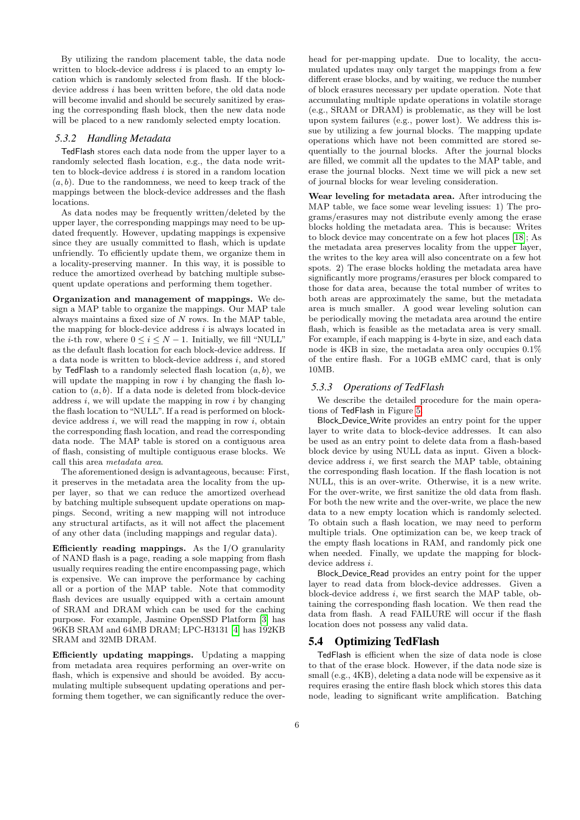By utilizing the random placement table, the data node written to block-device address  $i$  is placed to an empty location which is randomly selected from flash. If the blockdevice address *i* has been written before, the old data node will become invalid and should be securely sanitized by erasing the corresponding flash block, then the new data node will be placed to a new randomly selected empty location.

#### <span id="page-5-0"></span>*5.3.2 Handling Metadata*

TedFlash stores each data node from the upper layer to a randomly selected flash location, e.g., the data node written to block-device address  $i$  is stored in a random location  $(a, b)$ . Due to the randomness, we need to keep track of the mappings between the block-device addresses and the flash locations.

As data nodes may be frequently written/deleted by the upper layer, the corresponding mappings may need to be updated frequently. However, updating mappings is expensive since they are usually committed to flash, which is update unfriendly. To efficiently update them, we organize them in a locality-preserving manner. In this way, it is possible to reduce the amortized overhead by batching multiple subsequent update operations and performing them together.

Organization and management of mappings. We design a MAP table to organize the mappings. Our MAP tale always maintains a fixed size of N rows. In the MAP table, the mapping for block-device address  $i$  is always located in the *i*-th row, where  $0 \le i \le N - 1$ . Initially, we fill "NULL" as the default flash location for each block-device address. If a data node is written to block-device address i, and stored by TedFlash to a randomly selected flash location  $(a, b)$ , we will update the mapping in row  $i$  by changing the flash location to  $(a, b)$ . If a data node is deleted from block-device address  $i$ , we will update the mapping in row  $i$  by changing the flash location to "NULL". If a read is performed on blockdevice address  $i$ , we will read the mapping in row  $i$ , obtain the corresponding flash location, and read the corresponding data node. The MAP table is stored on a contiguous area of flash, consisting of multiple contiguous erase blocks. We call this area metadata area.

The aforementioned design is advantageous, because: First, it preserves in the metadata area the locality from the upper layer, so that we can reduce the amortized overhead by batching multiple subsequent update operations on mappings. Second, writing a new mapping will not introduce any structural artifacts, as it will not affect the placement of any other data (including mappings and regular data).

Efficiently reading mappings. As the I/O granularity of NAND flash is a page, reading a sole mapping from flash usually requires reading the entire encompassing page, which is expensive. We can improve the performance by caching all or a portion of the MAP table. Note that commodity flash devices are usually equipped with a certain amount of SRAM and DRAM which can be used for the caching purpose. For example, Jasmine OpenSSD Platform [\[3\]](#page-10-12) has 96KB SRAM and 64MB DRAM; LPC-H3131 [\[4\]](#page-10-13) has 192KB SRAM and 32MB DRAM.

Efficiently updating mappings. Updating a mapping from metadata area requires performing an over-write on flash, which is expensive and should be avoided. By accumulating multiple subsequent updating operations and performing them together, we can significantly reduce the overhead for per-mapping update. Due to locality, the accumulated updates may only target the mappings from a few different erase blocks, and by waiting, we reduce the number of block erasures necessary per update operation. Note that accumulating multiple update operations in volatile storage (e.g., SRAM or DRAM) is problematic, as they will be lost upon system failures (e.g., power lost). We address this issue by utilizing a few journal blocks. The mapping update operations which have not been committed are stored sequentially to the journal blocks. After the journal blocks are filled, we commit all the updates to the MAP table, and erase the journal blocks. Next time we will pick a new set of journal blocks for wear leveling consideration.

Wear leveling for metadata area. After introducing the MAP table, we face some wear leveling issues: 1) The programs/erasures may not distribute evenly among the erase blocks holding the metadata area. This is because: Writes to block device may concentrate on a few hot places [\[18\]](#page-10-3); As the metadata area preserves locality from the upper layer, the writes to the key area will also concentrate on a few hot spots. 2) The erase blocks holding the metadata area have significantly more programs/erasures per block compared to those for data area, because the total number of writes to both areas are approximately the same, but the metadata area is much smaller. A good wear leveling solution can be periodically moving the metadata area around the entire flash, which is feasible as the metadata area is very small. For example, if each mapping is 4-byte in size, and each data node is 4KB in size, the metadata area only occupies 0.1% of the entire flash. For a 10GB eMMC card, that is only 10MB.

#### *5.3.3 Operations of TedFlash*

We describe the detailed procedure for the main operations of TedFlash in Figure [5.](#page-6-1)

Block Device Write provides an entry point for the upper layer to write data to block-device addresses. It can also be used as an entry point to delete data from a flash-based block device by using NULL data as input. Given a blockdevice address  $i$ , we first search the MAP table, obtaining the corresponding flash location. If the flash location is not NULL, this is an over-write. Otherwise, it is a new write. For the over-write, we first sanitize the old data from flash. For both the new write and the over-write, we place the new data to a new empty location which is randomly selected. To obtain such a flash location, we may need to perform multiple trials. One optimization can be, we keep track of the empty flash locations in RAM, and randomly pick one when needed. Finally, we update the mapping for blockdevice address *i*.

Block Device Read provides an entry point for the upper layer to read data from block-device addresses. Given a block-device address i, we first search the MAP table, obtaining the corresponding flash location. We then read the data from flash. A read FAILURE will occur if the flash location does not possess any valid data.

## 5.4 Optimizing TedFlash

TedFlash is efficient when the size of data node is close to that of the erase block. However, if the data node size is small (e.g., 4KB), deleting a data node will be expensive as it requires erasing the entire flash block which stores this data node, leading to significant write amplification. Batching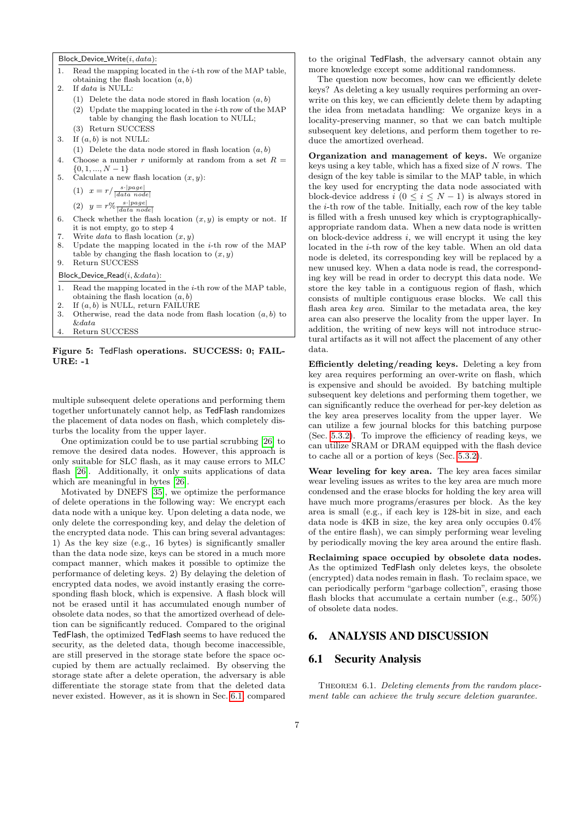$Block\_ Device\_Write(i, data);$ 

- 1. Read the mapping located in the i-th row of the MAP table, obtaining the flash location  $(a, b)$
- 2. If data is NULL:
	- (1) Delete the data node stored in flash location  $(a, b)$
	- (2) Update the mapping located in the  $i$ -th row of the MAP table by changing the flash location to NULL;
	- (3) Return SUCCESS
- 3. If  $(a, b)$  is not NULL:
- (1) Delete the data node stored in flash location  $(a, b)$
- 4. Choose a number r uniformly at random from a set  $R =$  ${0, 1, ..., N - 1}$
- 5. Calculate a new flash location  $(x, y)$ :

(1)  $x = r / \frac{s \cdot |page|}{|data\ node|}$ (2)  $y = r\% \frac{s \cdot |page|}{|data\ node|}$ 

- 6. Check whether the flash location  $(x, y)$  is empty or not. If it is not empty, go to step 4
- 7. Write data to flash location  $(x, y)$
- 8. Update the mapping located in the i-th row of the MAP table by changing the flash location to  $(x, y)$
- 9. Return SUCCESS

 $Block\_ Device\_Read(i, \& data):$ 

- 1. Read the mapping located in the  $i$ -th row of the MAP table, obtaining the flash location  $(a, b)$
- 2. If  $(a, b)$  is NULL, return FAILURE
- 3. Otherwise, read the data node from flash location  $(a, b)$  to &data
- <span id="page-6-1"></span>4. Return SUCCESS

#### Figure 5: TedFlash operations. SUCCESS: 0; FAIL-URE: -1

multiple subsequent delete operations and performing them together unfortunately cannot help, as TedFlash randomizes the placement of data nodes on flash, which completely disturbs the locality from the upper layer.

One optimization could be to use partial scrubbing [\[26\]](#page-11-1) to remove the desired data nodes. However, this approach is only suitable for SLC flash, as it may cause errors to MLC flash [\[26\]](#page-11-1). Additionally, it only suits applications of data which are meaningful in bytes [\[26\]](#page-11-1).

Motivated by DNEFS [\[35\]](#page-11-7), we optimize the performance of delete operations in the following way: We encrypt each data node with a unique key. Upon deleting a data node, we only delete the corresponding key, and delay the deletion of the encrypted data node. This can bring several advantages: 1) As the key size (e.g., 16 bytes) is significantly smaller than the data node size, keys can be stored in a much more compact manner, which makes it possible to optimize the performance of deleting keys. 2) By delaying the deletion of encrypted data nodes, we avoid instantly erasing the corresponding flash block, which is expensive. A flash block will not be erased until it has accumulated enough number of obsolete data nodes, so that the amortized overhead of deletion can be significantly reduced. Compared to the original TedFlash, the optimized TedFlash seems to have reduced the security, as the deleted data, though become inaccessible, are still preserved in the storage state before the space occupied by them are actually reclaimed. By observing the storage state after a delete operation, the adversary is able differentiate the storage state from that the deleted data never existed. However, as it is shown in Sec. [6.1,](#page-6-0) compared

to the original TedFlash, the adversary cannot obtain any more knowledge except some additional randomness.

The question now becomes, how can we efficiently delete keys? As deleting a key usually requires performing an overwrite on this key, we can efficiently delete them by adapting the idea from metadata handling: We organize keys in a locality-preserving manner, so that we can batch multiple subsequent key deletions, and perform them together to reduce the amortized overhead.

Organization and management of keys. We organize keys using a key table, which has a fixed size of N rows. The design of the key table is similar to the MAP table, in which the key used for encrypting the data node associated with block-device address  $i$  ( $0 \le i \le N-1$ ) is always stored in the i-th row of the table. Initially, each row of the key table is filled with a fresh unused key which is cryptographicallyappropriate random data. When a new data node is written on block-device address  $i$ , we will encrypt it using the key located in the *i*-th row of the key table. When an old data node is deleted, its corresponding key will be replaced by a new unused key. When a data node is read, the corresponding key will be read in order to decrypt this data node. We store the key table in a contiguous region of flash, which consists of multiple contiguous erase blocks. We call this flash area key area. Similar to the metadata area, the key area can also preserve the locality from the upper layer. In addition, the writing of new keys will not introduce structural artifacts as it will not affect the placement of any other data.

Efficiently deleting/reading keys. Deleting a key from key area requires performing an over-write on flash, which is expensive and should be avoided. By batching multiple subsequent key deletions and performing them together, we can significantly reduce the overhead for per-key deletion as the key area preserves locality from the upper layer. We can utilize a few journal blocks for this batching purpose (Sec. [5.3.2\)](#page-5-0). To improve the efficiency of reading keys, we can utilize SRAM or DRAM equipped with the flash device to cache all or a portion of keys (Sec. [5.3.2\)](#page-5-0).

Wear leveling for key area. The key area faces similar wear leveling issues as writes to the key area are much more condensed and the erase blocks for holding the key area will have much more programs/erasures per block. As the key area is small (e.g., if each key is 128-bit in size, and each data node is 4KB in size, the key area only occupies 0.4% of the entire flash), we can simply performing wear leveling by periodically moving the key area around the entire flash.

Reclaiming space occupied by obsolete data nodes. As the optimized TedFlash only deletes keys, the obsolete (encrypted) data nodes remain in flash. To reclaim space, we can periodically perform "garbage collection", erasing those flash blocks that accumulate a certain number (e.g., 50%) of obsolete data nodes.

# 6. ANALYSIS AND DISCUSSION

# <span id="page-6-2"></span><span id="page-6-0"></span>6.1 Security Analysis

THEOREM 6.1. Deleting elements from the random placement table can achieve the truly secure deletion guarantee.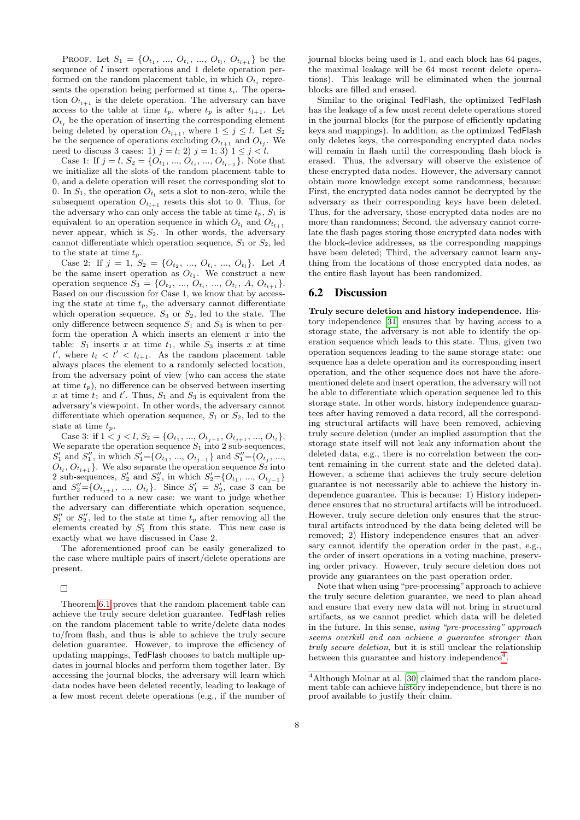PROOF. Let  $S_1 = \{O_{t_1}, ..., O_{t_i}, ..., O_{t_l}, O_{t_{l+1}}\}$  be the sequence of  $l$  insert operations and 1 delete operation performed on the random placement table, in which  $O_{t_i}$  represents the operation being performed at time  $t_i$ . The operation  $O_{t_{l+1}}$  is the delete operation. The adversary can have access to the table at time  $t_p$ , where  $t_p$  is after  $t_{l+1}$ . Let  $O_{t_j}$  be the operation of inserting the corresponding element being deleted by operation  $O_{t_{l+1}}$ , where  $1 \leq j \leq l$ . Let  $S_2$ be the sequence of operations excluding  $O_{t_{l+1}}$  and  $O_{t_j}$ . We need to discuss 3 cases: 1)  $j = l$ ; 2)  $j = 1$ ; 3)  $1 \le j \le l$ .

Case 1: If  $j = l$ ,  $S_2 = \{O_{t_1}, ..., O_{t_i}, ..., O_{t_{l-1}}\}$ . Note that we initialize all the slots of the random placement table to 0, and a delete operation will reset the corresponding slot to 0. In  $S_1$ , the operation  $O_{t_l}$  sets a slot to non-zero, while the subsequent operation  $O_{t_{l+1}}$  resets this slot to 0. Thus, for the adversary who can only access the table at time  $t_p$ ,  $S_1$  is equivalent to an operation sequence in which  $O_{t_l}$  and  $O_{t_{l+1}}$ never appear, which is  $S_2$ . In other words, the adversary cannot differentiate which operation sequence,  $S_1$  or  $S_2$ , led to the state at time  $t_p$ .

Case 2: If  $j = 1, S_2 = \{O_{t_2}, ..., O_{t_i}, ..., O_{t_l}\}.$  Let A be the same insert operation as  $O_{t_1}$ . We construct a new operation sequence  $S_3 = \{O_{t_2}, ..., O_{t_i}, ..., O_{t_l}, A, O_{t_{l+1}}\}.$ Based on our discussion for Case 1, we know that by accessing the state at time  $t_p$ , the adversary cannot differentiate which operation sequence,  $S_3$  or  $S_2$ , led to the state. The only difference between sequence  $S_1$  and  $S_3$  is when to perform the operation A which inserts an element  $x$  into the table:  $S_1$  inserts x at time  $t_1$ , while  $S_3$  inserts x at time  $t'$ , where  $t_l < t' < t_{l+1}$ . As the random placement table always places the element to a randomly selected location, from the adversary point of view (who can access the state at time  $t_p$ ), no difference can be observed between inserting x at time  $t_1$  and  $t'$ . Thus,  $S_1$  and  $S_3$  is equivalent from the adversary's viewpoint. In other words, the adversary cannot differentiate which operation sequence,  $S_1$  or  $S_2$ , led to the state at time  $t_p$ .

Case 3: if  $1 < j < l$ ,  $S_2 = \{O_{t_1}, ..., O_{t_{j-1}}, O_{t_{j+1}}, ..., O_{t_l}\}.$ We separate the operation sequence  $S_1$  into 2 sub-sequences,  $S'_1$  and  $S''_1$ , in which  $S'_1 = \{O_{t_1}, ..., O_{t_{j-1}}\}$  and  $S''_1 = \{O_{t_j}, ..., O_{t_{j-1}}\}$  $O_{t_l}, O_{t_{l+1}}$ . We also separate the operation sequence  $S_2$  into 2 sub-sequences,  $S'_2$  and  $S''_2$ , in which  $S'_2 = \{O_{t_1}, ..., O_{t_{j-1}}\}$ and  $S_2'' = \{O_{t_{j+1}}, ..., O_{t_l}\}.$  Since  $S_1' = S_2'$ , case 3 can be further reduced to a new case: we want to judge whether the adversary can differentiate which operation sequence,  $S_1''$  or  $S_2''$ , led to the state at time  $t_p$  after removing all the elements created by  $S'_1$  from this state. This new case is exactly what we have discussed in Case 2.

The aforementioned proof can be easily generalized to the case where multiple pairs of insert/delete operations are present.

## П

Theorem [6.1](#page-6-2) proves that the random placement table can achieve the truly secure deletion guarantee. TedFlash relies on the random placement table to write/delete data nodes to/from flash, and thus is able to achieve the truly secure deletion guarantee. However, to improve the efficiency of updating mappings, TedFlash chooses to batch multiple updates in journal blocks and perform them together later. By accessing the journal blocks, the adversary will learn which data nodes have been deleted recently, leading to leakage of a few most recent delete operations (e.g., if the number of journal blocks being used is 1, and each block has 64 pages, the maximal leakage will be 64 most recent delete operations). This leakage will be eliminated when the journal blocks are filled and erased.

Similar to the original TedFlash, the optimized TedFlash has the leakage of a few most recent delete operations stored in the journal blocks (for the purpose of efficiently updating keys and mappings). In addition, as the optimized TedFlash only deletes keys, the corresponding encrypted data nodes will remain in flash until the corresponding flash block is erased. Thus, the adversary will observe the existence of these encrypted data nodes. However, the adversary cannot obtain more knowledge except some randomness, because: First, the encrypted data nodes cannot be decrypted by the adversary as their corresponding keys have been deleted. Thus, for the adversary, those encrypted data nodes are no more than randomness; Second, the adversary cannot correlate the flash pages storing those encrypted data nodes with the block-device addresses, as the corresponding mappings have been deleted; Third, the adversary cannot learn anything from the locations of those encrypted data nodes, as the entire flash layout has been randomized.

# <span id="page-7-1"></span>6.2 Discussion

Truly secure deletion and history independence. History independence [\[31\]](#page-11-10) ensures that by having access to a storage state, the adversary is not able to identify the operation sequence which leads to this state. Thus, given two operation sequences leading to the same storage state: one sequence has a delete operation and its corresponding insert operation, and the other sequence does not have the aforementioned delete and insert operation, the adversary will not be able to differentiate which operation sequence led to this storage state. In other words, history independence guarantees after having removed a data record, all the corresponding structural artifacts will have been removed, achieving truly secure deletion (under an implied assumption that the storage state itself will not leak any information about the deleted data, e.g., there is no correlation between the content remaining in the current state and the deleted data). However, a scheme that achieves the truly secure deletion guarantee is not necessarily able to achieve the history independence guarantee. This is because: 1) History independence ensures that no structural artifacts will be introduced. However, truly secure deletion only ensures that the structural artifacts introduced by the data being deleted will be removed; 2) History independence ensures that an adversary cannot identify the operation order in the past, e.g., the order of insert operations in a voting machine, preserving order privacy. However, truly secure deletion does not provide any guarantees on the past operation order.

Note that when using "pre-processing"approach to achieve the truly secure deletion guarantee, we need to plan ahead and ensure that every new data will not bring in structural artifacts, as we cannot predict which data will be deleted in the future. In this sense, using "pre-processing" approach seems overkill and can achieve a guarantee stronger than truly secure deletion, but it is still unclear the relationship between this guarantee and history independence<sup>[4](#page-7-0)</sup>.

<span id="page-7-0"></span><sup>4</sup>Although Molnar at al. [\[30\]](#page-11-14) claimed that the random placement table can achieve history independence, but there is no proof available to justify their claim.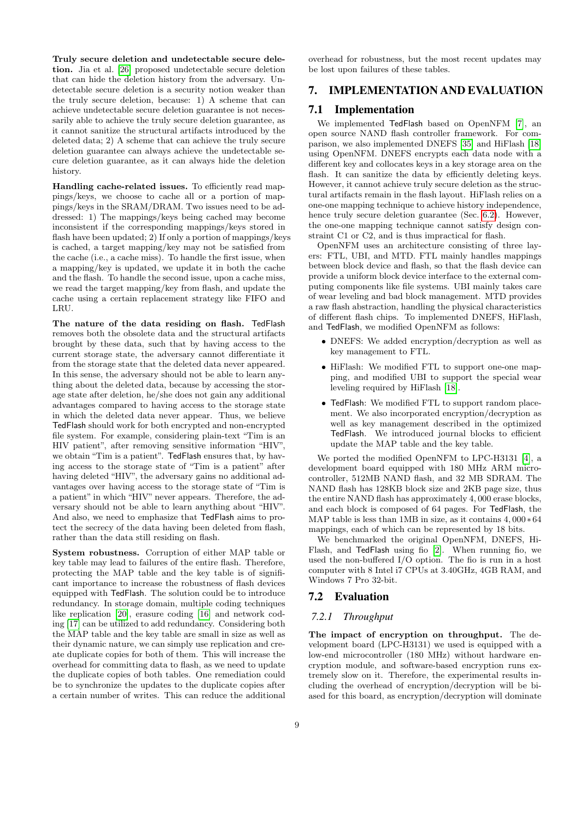Truly secure deletion and undetectable secure deletion. Jia et al. [\[26\]](#page-11-1) proposed undetectable secure deletion that can hide the deletion history from the adversary. Undetectable secure deletion is a security notion weaker than the truly secure deletion, because: 1) A scheme that can achieve undetectable secure deletion guarantee is not necessarily able to achieve the truly secure deletion guarantee, as it cannot sanitize the structural artifacts introduced by the deleted data; 2) A scheme that can achieve the truly secure deletion guarantee can always achieve the undetectable secure deletion guarantee, as it can always hide the deletion history.

Handling cache-related issues. To efficiently read mappings/keys, we choose to cache all or a portion of mappings/keys in the SRAM/DRAM. Two issues need to be addressed: 1) The mappings/keys being cached may become inconsistent if the corresponding mappings/keys stored in flash have been updated; 2) If only a portion of mappings/keys is cached, a target mapping/key may not be satisfied from the cache (i.e., a cache miss). To handle the first issue, when a mapping/key is updated, we update it in both the cache and the flash. To handle the second issue, upon a cache miss, we read the target mapping/key from flash, and update the cache using a certain replacement strategy like FIFO and LRU.

The nature of the data residing on flash. TedFlash removes both the obsolete data and the structural artifacts brought by these data, such that by having access to the current storage state, the adversary cannot differentiate it from the storage state that the deleted data never appeared. In this sense, the adversary should not be able to learn anything about the deleted data, because by accessing the storage state after deletion, he/she does not gain any additional advantages compared to having access to the storage state in which the deleted data never appear. Thus, we believe TedFlash should work for both encrypted and non-encrypted file system. For example, considering plain-text "Tim is an HIV patient", after removing sensitive information "HIV", we obtain "Tim is a patient". TedFlash ensures that, by having access to the storage state of "Tim is a patient" after having deleted "HIV", the adversary gains no additional advantages over having access to the storage state of "Tim is a patient" in which "HIV" never appears. Therefore, the adversary should not be able to learn anything about "HIV". And also, we need to emphasize that TedFlash aims to protect the secrecy of the data having been deleted from flash, rather than the data still residing on flash.

System robustness. Corruption of either MAP table or key table may lead to failures of the entire flash. Therefore, protecting the MAP table and the key table is of significant importance to increase the robustness of flash devices equipped with TedFlash. The solution could be to introduce redundancy. In storage domain, multiple coding techniques like replication [\[20\]](#page-10-14), erasure coding [\[16\]](#page-10-15) and network coding [\[17\]](#page-10-16) can be utilized to add redundancy. Considering both the MAP table and the key table are small in size as well as their dynamic nature, we can simply use replication and create duplicate copies for both of them. This will increase the overhead for committing data to flash, as we need to update the duplicate copies of both tables. One remediation could be to synchronize the updates to the duplicate copies after a certain number of writes. This can reduce the additional

overhead for robustness, but the most recent updates may be lost upon failures of these tables.

# 7. IMPLEMENTATION AND EVALUATION

## 7.1 Implementation

We implemented TedFlash based on OpenNFM [\[7\]](#page-10-6), an open source NAND flash controller framework. For comparison, we also implemented DNEFS [\[35\]](#page-11-7) and HiFlash [\[18\]](#page-10-3) using OpenNFM. DNEFS encrypts each data node with a different key and collocates keys in a key storage area on the flash. It can sanitize the data by efficiently deleting keys. However, it cannot achieve truly secure deletion as the structural artifacts remain in the flash layout. HiFlash relies on a one-one mapping technique to achieve history independence, hence truly secure deletion guarantee (Sec. [6.2\)](#page-7-1). However, the one-one mapping technique cannot satisfy design constraint C1 or C2, and is thus impractical for flash.

OpenNFM uses an architecture consisting of three layers: FTL, UBI, and MTD. FTL mainly handles mappings between block device and flash, so that the flash device can provide a uniform block device interface to the external computing components like file systems. UBI mainly takes care of wear leveling and bad block management. MTD provides a raw flash abstraction, handling the physical characteristics of different flash chips. To implemented DNEFS, HiFlash, and TedFlash, we modified OpenNFM as follows:

- DNEFS: We added encryption/decryption as well as key management to FTL.
- HiFlash: We modified FTL to support one-one mapping, and modified UBI to support the special wear leveling required by HiFlash [\[18\]](#page-10-3).
- TedFlash: We modified FTL to support random placement. We also incorporated encryption/decryption as well as key management described in the optimized TedFlash. We introduced journal blocks to efficient update the MAP table and the key table.

We ported the modified OpenNFM to LPC-H3131 [\[4\]](#page-10-13), a development board equipped with 180 MHz ARM microcontroller, 512MB NAND flash, and 32 MB SDRAM. The NAND flash has 128KB block size and 2KB page size, thus the entire NAND flash has approximately 4, 000 erase blocks, and each block is composed of 64 pages. For TedFlash, the MAP table is less than 1MB in size, as it contains  $4,000*64$ mappings, each of which can be represented by 18 bits.

We benchmarked the original OpenNFM, DNEFS, Hi-Flash, and TedFlash using fio [\[2\]](#page-10-17). When running fio, we used the non-buffered I/O option. The fio is run in a host computer with 8 Intel i7 CPUs at 3.40GHz, 4GB RAM, and Windows 7 Pro 32-bit.

## 7.2 Evaluation

## *7.2.1 Throughput*

The impact of encryption on throughput. The development board (LPC-H3131) we used is equipped with a low-end microcontroller (180 MHz) without hardware encryption module, and software-based encryption runs extremely slow on it. Therefore, the experimental results including the overhead of encryption/decryption will be biased for this board, as encryption/decryption will dominate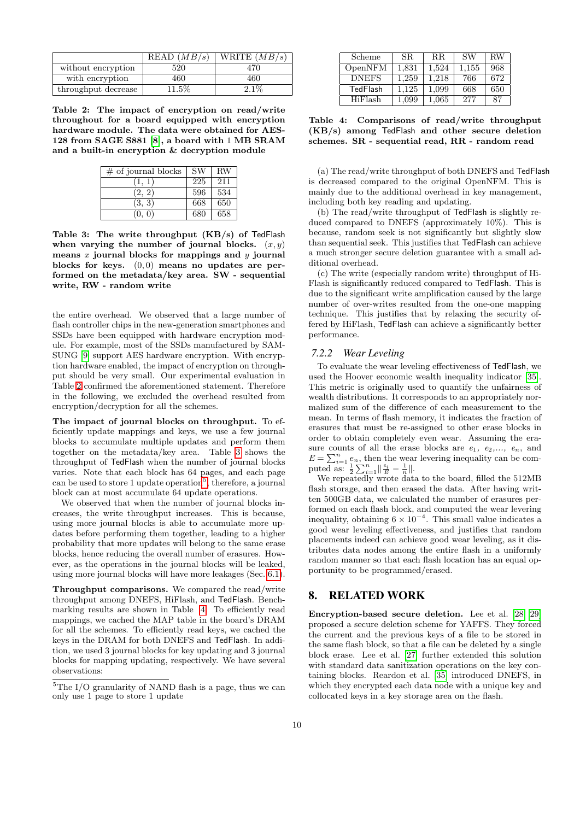|                     | READ(MB/s) | WRITE $(MB/s)$ |
|---------------------|------------|----------------|
| without encryption  | 520        | 470.           |
| with encryption     | 460        | 460            |
| throughput decrease | $11.5\%$   | 2.1%           |

<span id="page-9-0"></span>Table 2: The impact of encryption on read/write throughout for a board equipped with encryption hardware module. The data were obtained for AES-128 from SAGE S881 [\[8\]](#page-10-18), a board with 1 MB SRAM and a built-in encryption & decryption module

| $\#$ of journal blocks | <b>SW</b> | RW  |
|------------------------|-----------|-----|
| (1, 1)                 | 225       | 211 |
| (2, 2)                 | 596       | 534 |
| (3, 3)                 | 668       | 650 |
| (0.                    | 680       | 658 |

<span id="page-9-1"></span>Table 3: The write throughput (KB/s) of TedFlash when varying the number of journal blocks.  $(x, y)$ means  $x$  journal blocks for mappings and  $y$  journal blocks for keys.  $(0, 0)$  means no updates are performed on the metadata/key area. SW - sequential write, RW - random write

the entire overhead. We observed that a large number of flash controller chips in the new-generation smartphones and SSDs have been equipped with hardware encryption module. For example, most of the SSDs manufactured by SAM-SUNG [\[9\]](#page-10-19) support AES hardware encryption. With encryption hardware enabled, the impact of encryption on throughput should be very small. Our experimental evaluation in Table [2](#page-9-0) confirmed the aforementioned statement. Therefore in the following, we excluded the overhead resulted from encryption/decryption for all the schemes.

The impact of journal blocks on throughput. To efficiently update mappings and keys, we use a few journal blocks to accumulate multiple updates and perform them together on the metadata/key area. Table [3](#page-9-1) shows the throughput of TedFlash when the number of journal blocks varies. Note that each block has 64 pages, and each page can be used to store 1 update operation<sup>[5](#page-9-2)</sup>, therefore, a journal block can at most accumulate 64 update operations.

We observed that when the number of journal blocks increases, the write throughput increases. This is because, using more journal blocks is able to accumulate more updates before performing them together, leading to a higher probability that more updates will belong to the same erase blocks, hence reducing the overall number of erasures. However, as the operations in the journal blocks will be leaked, using more journal blocks will have more leakages (Sec. [6.1\)](#page-6-0).

Throughput comparisons. We compared the read/write throughput among DNEFS, HiFlash, and TedFlash. Benchmarking results are shown in Table [4.](#page-9-3) To efficiently read mappings, we cached the MAP table in the board's DRAM for all the schemes. To efficiently read keys, we cached the keys in the DRAM for both DNEFS and TedFlash. In addition, we used 3 journal blocks for key updating and 3 journal blocks for mapping updating, respectively. We have several observations:

| Scheme       | SR.   | $_{\rm RR}$ | <b>SW</b> | RW  |
|--------------|-------|-------------|-----------|-----|
| OpenNFM      | 1,831 | 1.524       | 1,155     | 968 |
| <b>DNEFS</b> | 1.259 | 1.218       | 766       | 672 |
| TedFlash     | 1.125 | 1.099       | 668       | 650 |
| HiFlash      | 1.099 | 1,065       | 277       | 87  |

<span id="page-9-3"></span>Table 4: Comparisons of read/write throughput (KB/s) among TedFlash and other secure deletion schemes. SR - sequential read, RR - random read

(a) The read/write throughput of both DNEFS and TedFlash is decreased compared to the original OpenNFM. This is mainly due to the additional overhead in key management, including both key reading and updating.

(b) The read/write throughput of TedFlash is slightly reduced compared to DNEFS (approximately 10%). This is because, random seek is not significantly but slightly slow than sequential seek. This justifies that TedFlash can achieve a much stronger secure deletion guarantee with a small additional overhead.

(c) The write (especially random write) throughput of Hi-Flash is significantly reduced compared to TedFlash. This is due to the significant write amplification caused by the large number of over-writes resulted from the one-one mapping technique. This justifies that by relaxing the security offered by HiFlash, TedFlash can achieve a significantly better performance.

#### *7.2.2 Wear Leveling*

To evaluate the wear leveling effectiveness of TedFlash, we used the Hoover economic wealth inequality indicator [\[35\]](#page-11-7). This metric is originally used to quantify the unfairness of wealth distributions. It corresponds to an appropriately normalized sum of the difference of each measurement to the mean. In terms of flash memory, it indicates the fraction of erasures that must be re-assigned to other erase blocks in order to obtain completely even wear. Assuming the erasure counts of all the erase blocks are  $e_1, e_2,..., e_n$ , and  $E = \sum_{i=1}^{n} e_n$ , then the wear levering inequality can be computed as:  $\frac{1}{2} \sum_{i=1}^{n} || \frac{e_i}{E} - \frac{1}{n} ||$ .

We repeatedly wrote data to the board, filled the 512MB flash storage, and then erased the data. After having written 500GB data, we calculated the number of erasures performed on each flash block, and computed the wear levering inequality, obtaining  $6 \times 10^{-4}$ . This small value indicates a good wear leveling effectiveness, and justifies that random placements indeed can achieve good wear leveling, as it distributes data nodes among the entire flash in a uniformly random manner so that each flash location has an equal opportunity to be programmed/erased.

# 8. RELATED WORK

Encryption-based secure deletion. Lee et al. [\[28,](#page-11-15) [29\]](#page-11-16) proposed a secure deletion scheme for YAFFS. They forced the current and the previous keys of a file to be stored in the same flash block, so that a file can be deleted by a single block erase. Lee et al. [\[27\]](#page-11-17) further extended this solution with standard data sanitization operations on the key containing blocks. Reardon et al. [\[35\]](#page-11-7) introduced DNEFS, in which they encrypted each data node with a unique key and collocated keys in a key storage area on the flash.

<span id="page-9-2"></span> $5$ The I/O granularity of NAND flash is a page, thus we can only use 1 page to store 1 update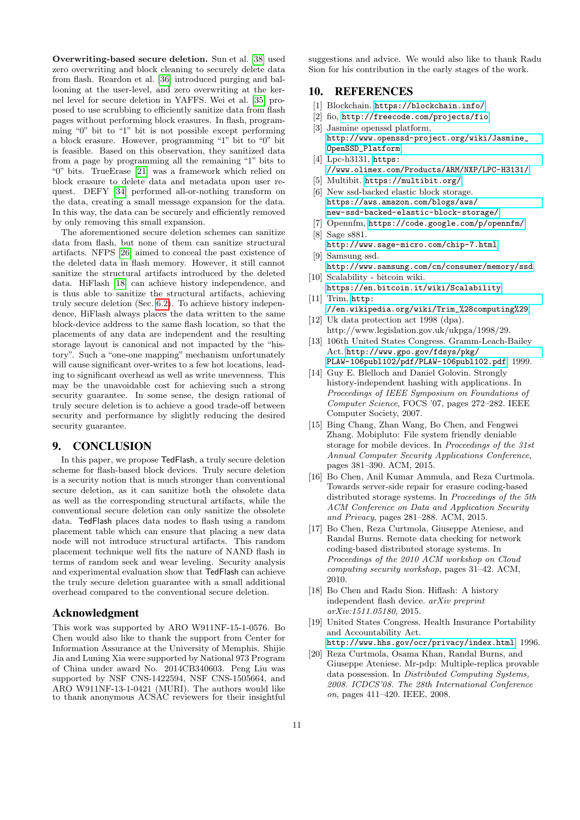Overwriting-based secure deletion. Sun et al. [\[38\]](#page-11-18) used zero overwriting and block cleaning to securely delete data from flash. Reardon et al. [\[36\]](#page-11-19) introduced purging and ballooning at the user-level, and zero overwriting at the kernel level for secure deletion in YAFFS. Wei et al. [\[35\]](#page-11-7) proposed to use scrubbing to efficiently sanitize data from flash pages without performing block erasures. In flash, programming "0" bit to "1" bit is not possible except performing a block erasure. However, programming "1" bit to "0" bit is feasible. Based on this observation, they sanitized data from a page by programming all the remaining "1" bits to "0" bits. TrueErase [\[21\]](#page-11-20) was a framework which relied on block erasure to delete data and metadata upon user request. DEFY [\[34\]](#page-11-21) performed all-or-nothing transform on the data, creating a small message expansion for the data. In this way, the data can be securely and efficiently removed by only removing this small expansion.

The aforementioned secure deletion schemes can sanitize data from flash, but none of them can sanitize structural artifacts. NFPS [\[26\]](#page-11-1) aimed to conceal the past existence of the deleted data in flash memory. However, it still cannot sanitize the structural artifacts introduced by the deleted data. HiFlash [\[18\]](#page-10-3) can achieve history independence, and is thus able to sanitize the structural artifacts, achieving truly secure deletion (Sec. [6.2\)](#page-7-1). To achieve history independence, HiFlash always places the data written to the same block-device address to the same flash location, so that the placements of any data are independent and the resulting storage layout is canonical and not impacted by the "history". Such a "one-one mapping" mechanism unfortunately will cause significant over-writes to a few hot locations, leading to significant overhead as well as write unevenness. This may be the unavoidable cost for achieving such a strong security guarantee. In some sense, the design rational of truly secure deletion is to achieve a good trade-off between security and performance by slightly reducing the desired security guarantee.

#### 9. CONCLUSION

In this paper, we propose TedFlash, a truly secure deletion scheme for flash-based block devices. Truly secure deletion is a security notion that is much stronger than conventional secure deletion, as it can sanitize both the obsolete data as well as the corresponding structural artifacts, while the conventional secure deletion can only sanitize the obsolete data. TedFlash places data nodes to flash using a random placement table which can ensure that placing a new data node will not introduce structural artifacts. This random placement technique well fits the nature of NAND flash in terms of random seek and wear leveling. Security analysis and experimental evaluation show that TedFlash can achieve the truly secure deletion guarantee with a small additional overhead compared to the conventional secure deletion.

## Acknowledgment

This work was supported by ARO W911NF-15-1-0576. Bo Chen would also like to thank the support from Center for Information Assurance at the University of Memphis. Shijie Jia and Luning Xia were supported by National 973 Program of China under award No. 2014CB340603. Peng Liu was supported by NSF CNS-1422594, NSF CNS-1505664, and ARO W911NF-13-1-0421 (MURI). The authors would like to thank anonymous ACSAC reviewers for their insightful

suggestions and advice. We would also like to thank Radu Sion for his contribution in the early stages of the work.

# 10. REFERENCES

- <span id="page-10-8"></span>[1] Blockchain. <https://blockchain.info/>.
- <span id="page-10-17"></span>[2] fio, <http://freecode.com/projects/fio>.
- <span id="page-10-12"></span>[3] Jasmine openssd platform, [http://www.openssd-project.org/wiki/Jasmine\\_](http://www.openssd-project.org/wiki/Jasmine_OpenSSD_Platform) [OpenSSD\\_Platform](http://www.openssd-project.org/wiki/Jasmine_OpenSSD_Platform).
- <span id="page-10-13"></span>[4] Lpc-h3131, [https:](https://www.olimex.com/Products/ARM/NXP/LPC-H3131/)
- [//www.olimex.com/Products/ARM/NXP/LPC-H3131/](https://www.olimex.com/Products/ARM/NXP/LPC-H3131/).
- <span id="page-10-5"></span>[5] Multibit. <https://multibit.org/>.
- <span id="page-10-4"></span>[6] New ssd-backed elastic block storage. [https://aws.amazon.com/blogs/aws/](https://aws.amazon.com/blogs/aws/new-ssd-backed-elastic-block-storage/) [new-ssd-backed-elastic-block-storage/](https://aws.amazon.com/blogs/aws/new-ssd-backed-elastic-block-storage/).
- <span id="page-10-6"></span>[7] Opennfm, <https://code.google.com/p/opennfm/>.
- <span id="page-10-18"></span>[8] Sage s881.
- <span id="page-10-19"></span><http://www.sage-micro.com/chip-7.html>. [9] Samsung ssd.
- <span id="page-10-7"></span><http://www.samsung.com/cn/consumer/memory/ssd>. [10] Scalability - bitcoin wiki.
- <span id="page-10-9"></span><https://en.bitcoin.it/wiki/Scalability>. [11] Trim, [http:](http://en.wikipedia.org/wiki/Trim_%28computing%29)
- <span id="page-10-2"></span>[//en.wikipedia.org/wiki/Trim\\_%28computing%29](http://en.wikipedia.org/wiki/Trim_%28computing%29). [12] Uk data protection act 1998 (dpa).
- <span id="page-10-1"></span>http://www.legislation.gov.uk/ukpga/1998/29. [13] 106th United States Congress. Gramm-Leach-Bailey
- Act. [http://www.gpo.gov/fdsys/pkg/](http://www.gpo.gov/fdsys/pkg/PLAW-106publ102/pdf/PLAW-106publ102.pdf) [PLAW-106publ102/pdf/PLAW-106publ102.pdf](http://www.gpo.gov/fdsys/pkg/PLAW-106publ102/pdf/PLAW-106publ102.pdf), 1999.
- <span id="page-10-11"></span>[14] Guy E. Blelloch and Daniel Golovin. Strongly history-independent hashing with applications. In Proceedings of IEEE Symposium on Foundations of Computer Science, FOCS '07, pages 272–282. IEEE Computer Society, 2007.
- <span id="page-10-10"></span>[15] Bing Chang, Zhan Wang, Bo Chen, and Fengwei Zhang. Mobipluto: File system friendly deniable storage for mobile devices. In Proceedings of the 31st Annual Computer Security Applications Conference, pages 381–390. ACM, 2015.
- <span id="page-10-15"></span>[16] Bo Chen, Anil Kumar Ammula, and Reza Curtmola. Towards server-side repair for erasure coding-based distributed storage systems. In Proceedings of the 5th ACM Conference on Data and Application Security and Privacy, pages 281–288. ACM, 2015.
- <span id="page-10-16"></span>[17] Bo Chen, Reza Curtmola, Giuseppe Ateniese, and Randal Burns. Remote data checking for network coding-based distributed storage systems. In Proceedings of the 2010 ACM workshop on Cloud computing security workshop, pages 31–42. ACM, 2010.
- <span id="page-10-3"></span>[18] Bo Chen and Radu Sion. Hiflash: A history independent flash device. arXiv preprint arXiv:1511.05180, 2015.
- <span id="page-10-0"></span>[19] United States Congress. Health Insurance Portability and Accountability Act.
- <span id="page-10-14"></span><http://www.hhs.gov/ocr/privacy/index.html>, 1996. [20] Reza Curtmola, Osama Khan, Randal Burns, and
- Giuseppe Ateniese. Mr-pdp: Multiple-replica provable data possession. In Distributed Computing Systems, 2008. ICDCS'08. The 28th International Conference on, pages 411–420. IEEE, 2008.